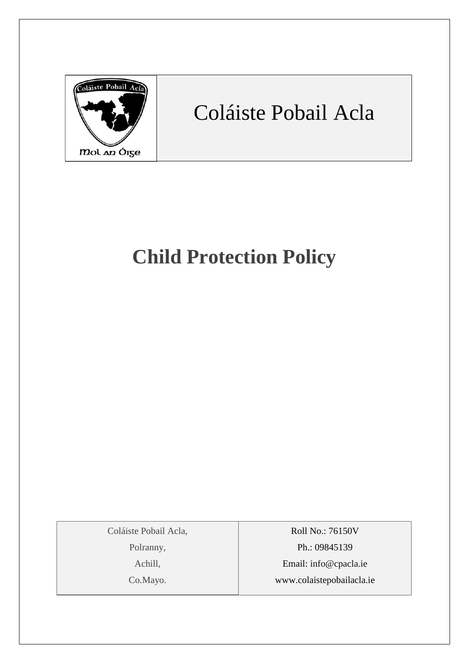

## Coláiste Pobail Acla

## **Child Protection Policy**

Coláiste Pobail Acla,

Polranny,

Achill,

Co.Mayo.

Roll No.: 76150V Ph.: 09845139 Email: [info@cpacla.ie](mailto:info@cpacla.ie) www.colaistepobailacla.ie